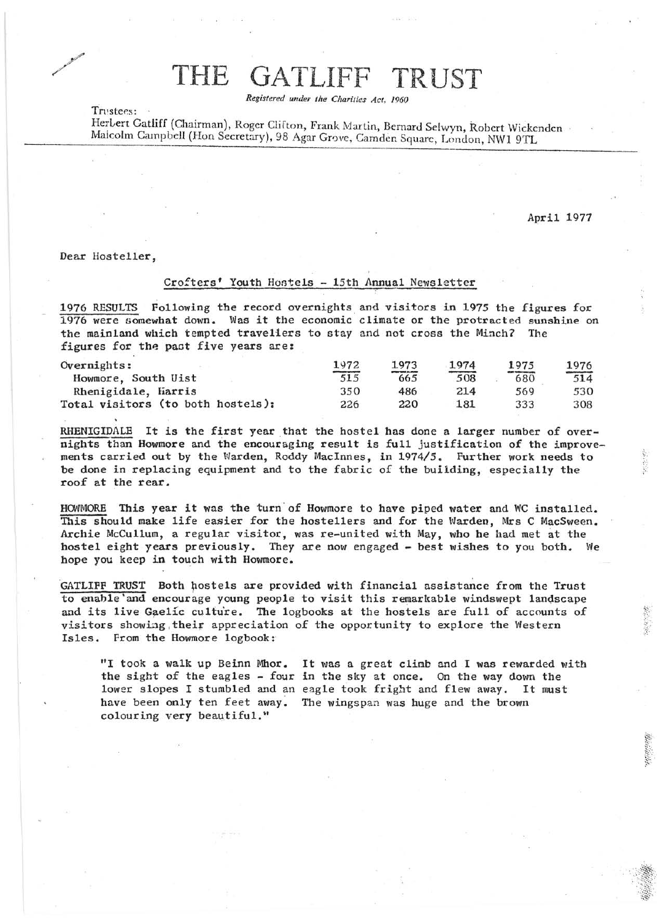## THE GATLIFF TRUST

*Registered under the Charities Act, .1960* 

Trustees: -

Herbert Gatliff (Chairman), Roger Clifton, Frank Martin, Bernard Selwyn, Robert Wickenden Malcolm Campbell (Hon Secretary), 98 Agar Grove, Camden Square, London, NW1 9TL ndon, NW1 9TL

April 1977

Dear Hoste1ler,

## Crofters' Youth Hostels - 15th Annual Newsletter

1976 RESULTS Following the record overnights and visitors in 1975 the figures for 1976 were somewhat down. Was it the economic climate or the protracted sunshine on the mainland which tempted trave11ers to stay and not cross the Minch? The figures for the past five years are:

| Overnights:                       | 1972                           | 1973                                     | 1974 | 1975                                | 1976 |
|-----------------------------------|--------------------------------|------------------------------------------|------|-------------------------------------|------|
| Howmore, South Uist               | distribution specialist<br>515 | <b>ANTIQUE TABILE IS . AN ONE</b><br>665 | 508  | <b>CEAN WARNTOWN COMPANY</b><br>680 | 514  |
| Rhenigidale, Harris               | 350                            | 486                                      | 214  | 569                                 | 530  |
| Total visitors (to both hostels): | 226                            | 220                                      | 181  | 333                                 | 308  |

RHENIGIDALE It is the first year that the hostel has done a larger number of overnights than Howmore and the encouraging result is full justification of the improvements carried out by the Warden, Roddy MacInnes, in 1974/5. Further work needs to be done in replacing equipment and to the fabric of the building, especially the roof at the rear.

HOWMORE This year it was the turn of Howmore to have piped water and WC installed. This should make life easier for the hostellers and for the Warden, Mrs C MacSween. Archie McCullum, a regular visitor, was re-united with May, who he had met at the hostel eight years previously. They are now engaged - best wishes to you both. We hope you keep in touch with Howmore.

GATLIFF TRUST Both hostels are provided with financial assistance from the Trust to enable'and encourage young people to visit this remarkable windswept landscape and its live Gaelic culture. The logbooks at the hostels are full of accounts of visitors showing their appreciation of the opportunity to explore the Western Isles. From the Howmore logbook:

"I took a walk up Beinn Mhor. It was a great climb and I was rewarded with the sight of the eagles - four in the sky at once. On the way down the lower slopes I stumbled and an eagle took fright and flew away. It must have been only ten feet away. The wingspan was huge and the brown colouring very beautiful."